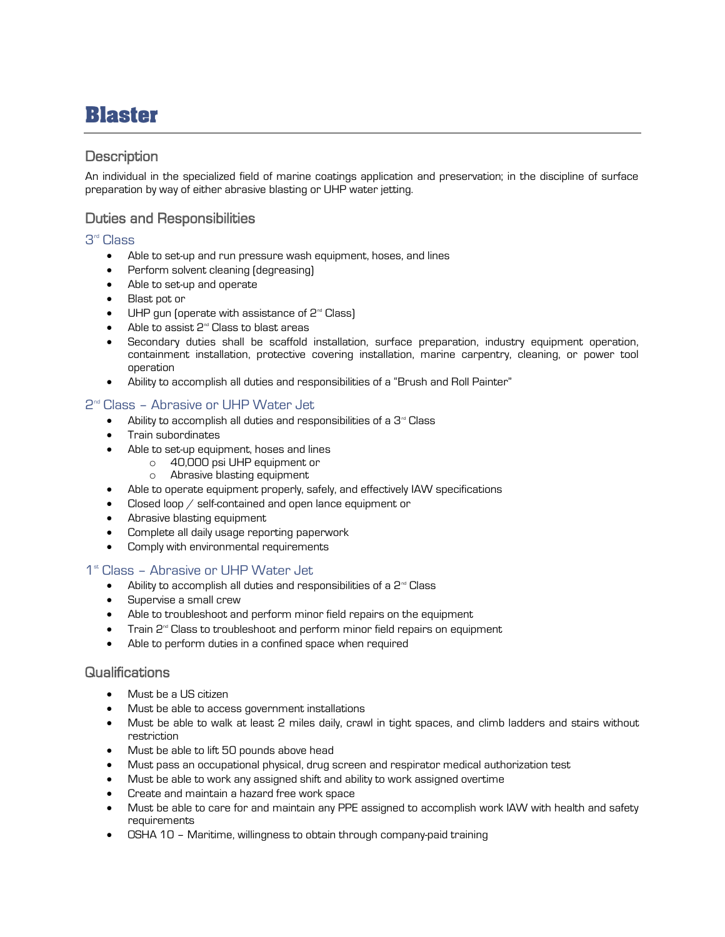# **Blaster**

## **Description**

An individual in the specialized field of marine coatings application and preservation; in the discipline of surface preparation by way of either abrasive blasting or UHP water jetting.

# Duties and Responsibilities

#### 3 rd Class

- Able to set-up and run pressure wash equipment, hoses, and lines
- Perform solvent cleaning (degreasing)
- Able to set-up and operate
- Blast pot or
- UHP gun (operate with assistance of  $2<sup>nd</sup>$  Class)
- Able to assist  $2<sup>nd</sup>$  Class to blast areas
- Secondary duties shall be scaffold installation, surface preparation, industry equipment operation, containment installation, protective covering installation, marine carpentry, cleaning, or power tool operation
- Ability to accomplish all duties and responsibilities of a "Brush and Roll Painter"

#### 2 nd Class – Abrasive or UHP Water Jet

- Ability to accomplish all duties and responsibilities of a  $3<sup>nd</sup>$  Class
- Train subordinates
	- Able to set-up equipment, hoses and lines
		- o 40,000 psi UHP equipment or
			- o Abrasive blasting equipment
- Able to operate equipment properly, safely, and effectively IAW specifications
- Closed loop / self-contained and open lance equipment or
- Abrasive blasting equipment
- Complete all daily usage reporting paperwork
- Comply with environmental requirements

### 1<sup>st</sup> Class - Abrasive or UHP Water Jet

- Ability to accomplish all duties and responsibilities of a  $2<sup>nd</sup>$  Class
- Supervise a small crew
- Able to troubleshoot and perform minor field repairs on the equipment
- Train  $2<sup>nd</sup>$  Class to troubleshoot and perform minor field repairs on equipment
- Able to perform duties in a confined space when required

## Qualifications

- Must be a US citizen
- Must be able to access government installations
- Must be able to walk at least 2 miles daily, crawl in tight spaces, and climb ladders and stairs without restriction
- Must be able to lift 50 pounds above head
- Must pass an occupational physical, drug screen and respirator medical authorization test
- Must be able to work any assigned shift and ability to work assigned overtime
- Create and maintain a hazard free work space
- Must be able to care for and maintain any PPE assigned to accomplish work IAW with health and safety requirements
- OSHA 10 Maritime, willingness to obtain through company-paid training